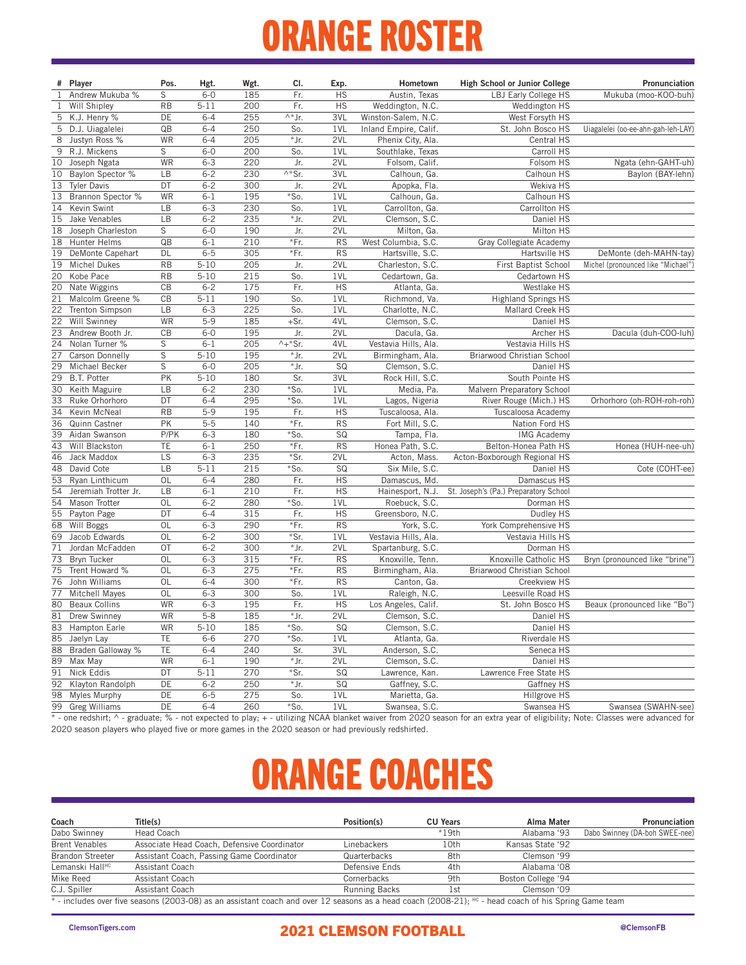## ORANGE ROSTER

|              | # Player             | Pos.        | Hgt.     | Wgt. | CI.                       | Exp.      | Hometown              | High School or Junior College         | Pronunciation                      |
|--------------|----------------------|-------------|----------|------|---------------------------|-----------|-----------------------|---------------------------------------|------------------------------------|
| $\mathbf{1}$ | Andrew Mukuba %      | S           | $6-0$    | 185  | Fr.                       | <b>HS</b> | Austin, Texas         | LBJ Early College HS                  | Mukuba (moo-KOO-buh)               |
| $\mathbf{1}$ | Will Shipley         | <b>RB</b>   | $5 - 11$ | 200  | Fr.                       | <b>HS</b> | Weddington, N.C.      | Weddington HS                         |                                    |
| 5            | K.J. Henry %         | DE          | $6 - 4$  | 255  | $\wedge^*$ Jr.            | 3VL       | Winston-Salem, N.C.   | West Forsyth HS                       |                                    |
| 5            | D.J. Uiagalelei      | QB          | $6 - 4$  | 250  | So.                       | 1VL       | Inland Empire, Calif. | St. John Bosco HS                     | Uiagalelei (oo-ee-ahn-gah-leh-LAY) |
| 8            | Justyn Ross %        | WR          | $6 - 4$  | 205  | * Jr.                     | 2VL       | Phenix City, Ala.     | Central HS                            |                                    |
| 9            | R.J. Mickens         | S           | $6-0$    | 200  | So.                       | 1VL       | Southlake, Texas      | Carroll HS                            |                                    |
| 10           | Joseph Ngata         | WR          | $6 - 3$  | 220  | Jr.                       | 2VL       | Folsom, Calif.        | Folsom HS                             | Ngata (ehn-GAHT-uh)                |
| 10           | Baylon Spector %     | LB          | $6 - 2$  | 230  | $\overline{\wedge^*}$ Sr. | 3VL       | Calhoun, Ga.          | Calhoun HS                            | Baylon (BAY-lehn)                  |
| 13           | <b>Tyler Davis</b>   | DT          | $6 - 2$  | 300  | Jr.                       | 2VL       | Apopka, Fla.          | Wekiva HS                             |                                    |
| 13           | Brannon Spector %    | WR          | $6 - 1$  | 195  | $*$ So.                   | 1VL       | Calhoun, Ga.          | Calhoun HS                            |                                    |
| 14           | Kevin Swint          | LB          | $6 - 3$  | 230  | So.                       | 1VL       | Carrollton, Ga.       | Carrollton HS                         |                                    |
| 15           | Jake Venables        | LB          | $6 - 2$  | 235  | *Jr.                      | 2VL       | Clemson, S.C.         | Daniel HS                             |                                    |
| 18           | Joseph Charleston    | S           | $6-0$    | 190  | Jr.                       | 2VL       | Milton, Ga.           | Milton HS                             |                                    |
| 18           | Hunter Helms         | QB          | $6 - 1$  | 210  | *Fr.                      | <b>RS</b> | West Columbia, S.C.   | Gray Collegiate Academy               |                                    |
| 19           | DeMonte Capehart     | DL          | $6 - 5$  | 305  | *Fr.                      | <b>RS</b> | Hartsville, S.C.      | Hartsville HS                         | DeMonte (deh-MAHN-tay)             |
| 19           | <b>Michel Dukes</b>  | <b>RB</b>   | $5 - 10$ | 205  | Jr.                       | 2VL       | Charleston, S.C.      | First Baptist School                  | Michel (pronounced like "Michael") |
| 20           | Kobe Pace            | <b>RB</b>   | $5 - 10$ | 215  | So.                       | 1VL       | Cedartown, Ga.        | Cedartown HS                          |                                    |
| 20           | Nate Wiggins         | CB          | $6 - 2$  | 175  | Fr.                       | <b>HS</b> | Atlanta, Ga.          | Westlake HS                           |                                    |
| 21           | Malcolm Greene %     | CB          | $5 - 11$ | 190  | So.                       | 1VL       | Richmond, Va.         | <b>Highland Springs HS</b>            |                                    |
| 22           | Trenton Simpson      | LB          | $6 - 3$  | 225  | So.                       | 1VL       | Charlotte, N.C.       | Mallard Creek HS                      |                                    |
| 22           | Will Swinney         | WR          | $5-9$    | 185  | $+Sr.$                    | 4VL       | Clemson, S.C.         | Daniel HS                             |                                    |
| 23           | Andrew Booth Jr.     | CB          | $6-0$    | 195  | Jr.                       | 2VL       | Dacula, Ga.           | Archer HS                             | Dacula (duh-COO-luh)               |
| 24           | Nolan Turner %       | S           | $6 - 1$  | 205  | $^{\wedge +*}$ Sr.        | 4VL       | Vestavia Hills, Ala.  | Vestavia Hills HS                     |                                    |
| 27           | Carson Donnelly      | S           | $5 - 10$ | 195  | *Jr.                      | 2VL       | Birmingham, Ala.      | Briarwood Christian School            |                                    |
| 29           | Michael Becker       | $\mathsf S$ | $6 - 0$  | 205  | *Jr.                      | SQ        | Clemson, S.C.         | Daniel HS                             |                                    |
| 29           | B.T. Potter          | PK          | $5 - 10$ | 180  | Sr.                       | 3VL       | Rock Hill, S.C.       | South Pointe HS                       |                                    |
| 30           | Keith Maguire        | LB          | $6 - 2$  | 230  | *So.                      | 1VL       | Media, Pa.            | Malvern Preparatory School            |                                    |
| 33           | Ruke Orhorhoro       | DT          | $6 - 4$  | 295  | *So.                      | 1VL       | Lagos, Nigeria        | River Rouge (Mich.) HS                | Orhorhoro (oh-ROH-roh-roh)         |
| 34           | Kevin McNeal         | <b>RB</b>   | $5 - 9$  | 195  | Fr.                       | <b>HS</b> | Tuscaloosa, Ala.      | Tuscaloosa Academy                    |                                    |
| 36           | Quinn Castner        | PK          | $5 - 5$  | 140  | *Fr.                      | <b>RS</b> | Fort Mill, S.C.       | Nation Ford HS                        |                                    |
| 39           | Aidan Swanson        | P/PK        | $6 - 3$  | 180  | $*$ So.                   | SQ        | Tampa, Fla.           | <b>IMG Academy</b>                    |                                    |
| 43           | Will Blackston       | TE          | $6 - 1$  | 250  | *Fr.                      | <b>RS</b> | Honea Path, S.C.      | Belton-Honea Path HS                  | Honea (HUH-nee-uh)                 |
| 46           | Jack Maddox          | LS          | $6 - 3$  | 235  | *Sr.                      | 2VL       | Acton, Mass.          | Acton-Boxborough Regional HS          |                                    |
| 48           | David Cote           | LB          | $5 - 11$ | 215  | *So.                      | SQ        | Six Mile, S.C.        | Daniel HS                             | Cote (COHT-ee)                     |
| 53           | Ryan Linthicum       | OL          | $6 - 4$  | 280  | Fr.                       | <b>HS</b> | Damascus, Md.         | Damascus HS                           |                                    |
| 54           | Jeremiah Trotter Jr. | LB          | $6 - 1$  | 210  | Fr.                       | <b>HS</b> | Hainesport, N.J.      | St. Joseph's (Pa.) Preparatory School |                                    |
| 54           | Mason Trotter        | <b>OL</b>   | $6 - 2$  | 280  | *So.                      | 1VL       | Roebuck, S.C.         | Dorman HS                             |                                    |
| 55           | Payton Page          | DT          | $6 - 4$  | 315  | Fr.                       | <b>HS</b> | Greensboro, N.C.      | Dudley HS                             |                                    |
| 68           | Will Boggs           | OL          | $6 - 3$  | 290  | *Fr.                      | <b>RS</b> | York, S.C.            | York Comprehensive HS                 |                                    |
| 69           | Jacob Edwards        | OL          | $6 - 2$  | 300  | *Sr.                      | 1VL       | Vestavia Hills, Ala.  | Vestavia Hills HS                     |                                    |
| 71           | Jordan McFadden      | OT          | $6 - 2$  | 300  | *Jr.                      | 2VL       | Spartanburg, S.C.     | Dorman HS                             |                                    |
| 73           | Bryn Tucker          | OL          | $6 - 3$  | 315  | *Fr.                      | <b>RS</b> | Knoxville, Tenn.      | Knoxville Catholic HS                 | Bryn (pronounced like "brine")     |
| 75           | Trent Howard %       | <b>OL</b>   | $6 - 3$  | 275  | *Fr.                      | <b>RS</b> | Birmingham, Ala.      | Briarwood Christian School            |                                    |
| 76           | John Williams        | OL          | $6 - 4$  | 300  | *Fr.                      | <b>RS</b> | Canton, Ga.           | Creekview HS                          |                                    |
| 77           | Mitchell Mayes       | OL          | $6 - 3$  | 300  | So.                       | 1VL       | Raleigh, N.C.         | Leesville Road HS                     |                                    |
| 80           | <b>Beaux Collins</b> | WR          | $6 - 3$  | 195  | Fr.                       | <b>HS</b> | Los Angeles, Calif.   | St. John Bosco HS                     | Beaux (pronounced like "Bo")       |
| 81           | Drew Swinney         | WR          | $5 - 8$  | 185  | *Jr.                      | 2VL       | Clemson, S.C.         | Daniel HS                             |                                    |
| 83           | Hampton Earle        | <b>WR</b>   | $5 - 10$ | 185  | $*$ So.                   | SQ        | Clemson, S.C.         | Daniel HS                             |                                    |
| 85           | Jaelyn Lay           | TE          | $6-6$    | 270  | *So.                      | 1VL       | Atlanta, Ga.          | Riverdale HS                          |                                    |
| 88           | Braden Galloway %    | TE          | $6 - 4$  | 240  | Sr.                       | 3VL       | Anderson, S.C.        | Seneca HS                             |                                    |
| 89           | Max May              | WR          | $6 - 1$  | 190  | *Jr.                      | 2VL       | Clemson, S.C.         | Daniel HS                             |                                    |
| 91           | Nick Eddis           | DT          | $5 - 11$ | 270  | *Sr.                      | SQ        | Lawrence, Kan.        | Lawrence Free State HS                |                                    |
| 92           | Klayton Randolph     | DE          | $6 - 2$  | 250  | *Jr.                      | SQ        | Gaffney, S.C.         | Gaffney HS                            |                                    |
| 98           | Myles Murphy         | DE          | $6 - 5$  | 275  | So.                       | 1VL       | Marietta, Ga.         | Hillgrove HS                          |                                    |
| 99           | <b>Greg Williams</b> | DE          | $6 - 4$  | 260  | *So.                      | 1VL       | Swansea, S.C.         | Swansea HS                            | Swansea (SWAHN-see)                |

\* - one redshirt; ^ - graduate; % - not expected to play; + - utilizing NCAA blanket waiver from 2020 season for an extra year of eligibility; Note: Classes were advanced for 2020 season players who played five or more games in the 2020 season or had previously redshirted.

## ORANGE COACHES

| Coach                                                                                                                                              | Title(s)                                    | Position(s)          | <b>CU Years</b> | Alma Mater         | Pronunciation                  |  |  |  |  |
|----------------------------------------------------------------------------------------------------------------------------------------------------|---------------------------------------------|----------------------|-----------------|--------------------|--------------------------------|--|--|--|--|
| Dabo Swinney                                                                                                                                       | Head Coach                                  |                      | $*19th$         | Alabama '93        | Dabo Swinney (DA-boh SWEE-nee) |  |  |  |  |
| <b>Brent Venables</b>                                                                                                                              | Associate Head Coach, Defensive Coordinator | Linebackers          | 10th            | Kansas State '92   |                                |  |  |  |  |
| <b>Brandon Streeter</b>                                                                                                                            | Assistant Coach, Passing Game Coordinator   | Quarterbacks         | 8th             | Clemson '99        |                                |  |  |  |  |
| Lemanski Hall <sup>HC</sup>                                                                                                                        | Assistant Coach                             | Defensive Ends       | 4th             | Alabama '08        |                                |  |  |  |  |
| Mike Reed                                                                                                                                          | Assistant Coach                             | Cornerbacks          | 9th             | Boston College '94 |                                |  |  |  |  |
| C.J. Spiller                                                                                                                                       | Assistant Coach                             | <b>Running Backs</b> | lst             | Clemson '09        |                                |  |  |  |  |
| * includes over five seasons (2003-08) as an assistant coach and over 12 seasons as a head coach (2008-21). HC, head coach of his Spring Came team |                                             |                      |                 |                    |                                |  |  |  |  |

includes over five seasons (2003-08) as an assistant coach and over 12 seasons as a head coach (2008-21); <sup>HC</sup> - head coach of his Spring Game team